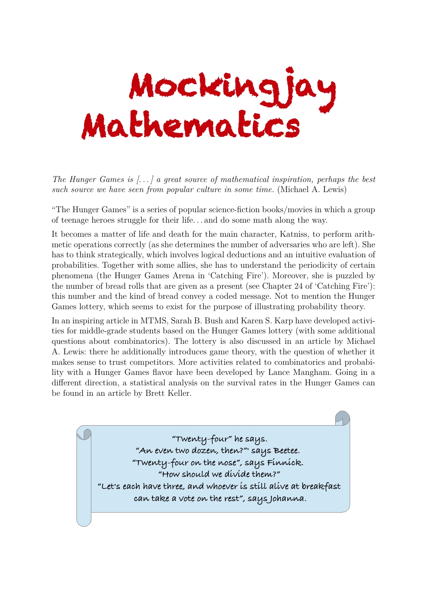## Mockingjay Mathematics

*The Hunger Games is [. . . ] a great source of mathematical inspiration, perhaps the best such source we have seen from popular culture in some time.* (Michael A. Lewis)

"The Hunger Games" is a series of popular science-fiction books/movies in which a group of teenage heroes struggle for their life. . . and do some math along the way.

It becomes a matter of life and death for the main character, Katniss, to perform arithmetic operations correctly (as she determines the number of adversaries who are left). She has to think strategically, which involves logical deductions and an intuitive evaluation of probabilities. Together with some allies, she has to understand the periodicity of certain phenomena (the Hunger Games Arena in 'Catching Fire'). Moreover, she is puzzled by the number of bread rolls that are given as a present (see Chapter 24 of 'Catching Fire'): this number and the kind of bread convey a coded message. Not to mention the Hunger Games lottery, which seems to exist for the purpose of illustrating probability theory.

In an inspiring article in MTMS, Sarah B. Bush and Karen S. Karp have developed activities for middle-grade students based on the Hunger Games lottery (with some additional questions about combinatorics). The lottery is also discussed in an article by Michael A. Lewis: there he additionally introduces game theory, with the question of whether it makes sense to trust competitors. More activities related to combinatorics and probability with a Hunger Games flavor have been developed by Lance Mangham. Going in a different direction, a statistical analysis on the survival rates in the Hunger Games can be found in an article by Brett Keller.

 **"Twenty-four" he says. "An even two dozen, then?"' says Beetee. "Twenty-four on the nose", says Finnick. "How should we divide them?" "Let's each have three, and whoever is still alive at breakfast can take a vote on the rest", says Johanna.**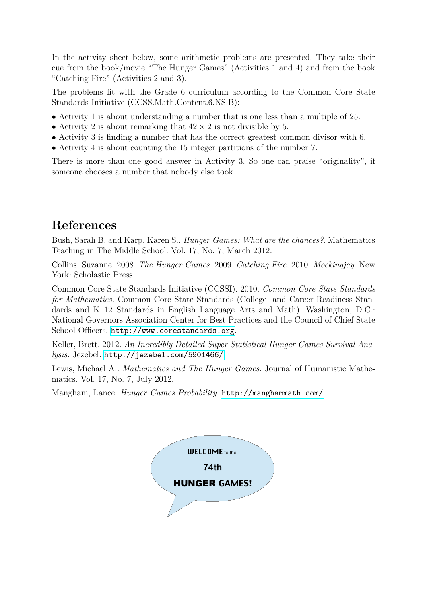In the activity sheet below, some arithmetic problems are presented. They take their cue from the book/movie "The Hunger Games" (Activities 1 and 4) and from the book "Catching Fire" (Activities 2 and 3).

The problems fit with the Grade 6 curriculum according to the Common Core State Standards Initiative (CCSS.Math.Content.6.NS.B):

- Activity 1 is about understanding a number that is one less than a multiple of 25.
- Activity 2 is about remarking that  $42 \times 2$  is not divisible by 5.
- Activity 3 is finding a number that has the correct greatest common divisor with 6.
- Activity 4 is about counting the 15 integer partitions of the number 7.

There is more than one good answer in Activity 3. So one can praise "originality", if someone chooses a number that nobody else took.

## **References**

Bush, Sarah B. and Karp, Karen S.. *Hunger Games: What are the chances?*. Mathematics Teaching in The Middle School. Vol. 17, No. 7, March 2012.

Collins, Suzanne. 2008. *The Hunger Games.* 2009. *Catching Fire.* 2010. *Mockingjay.* New York: Scholastic Press.

Common Core State Standards Initiative (CCSSI). 2010. *Common Core State Standards for Mathematics.* Common Core State Standards (College- and Career-Readiness Standards and K–12 Standards in English Language Arts and Math). Washington, D.C.: National Governors Association Center for Best Practices and the Council of Chief State School Officers. <http://www.corestandards.org>.

Keller, Brett. 2012. *An Incredibly Detailed Super Statistical Hunger Games Survival Analysis.* Jezebel. <http://jezebel.com/5901466/>.

Lewis, Michael A.. *Mathematics and The Hunger Games.* Journal of Humanistic Mathematics. Vol. 17, No. 7, July 2012.

Mangham, Lance. *Hunger Games Probability*. <http://manghammath.com/>.